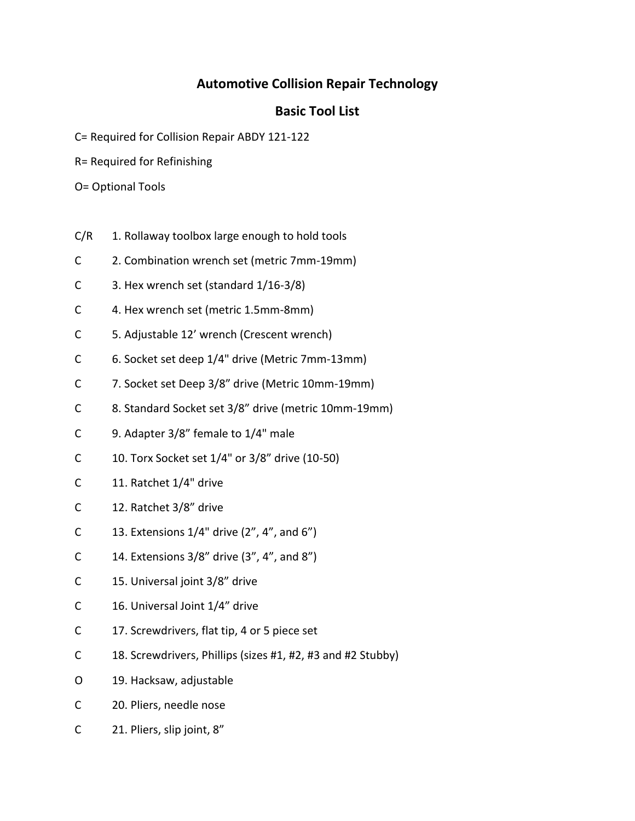## **Automotive Collision Repair Technology**

## **Basic Tool List**

C= Required for Collision Repair ABDY 121-122

R= Required for Refinishing

O= Optional Tools

- $C/R$  1. Rollaway toolbox large enough to hold tools
- C 2. Combination wrench set (metric 7mm-19mm)
- C 3. Hex wrench set (standard 1/16-3/8)
- C 4. Hex wrench set (metric 1.5mm-8mm)
- C 5. Adjustable 12' wrench (Crescent wrench)
- C 6. Socket set deep 1/4" drive (Metric 7mm-13mm)
- C 7. Socket set Deep 3/8" drive (Metric 10mm-19mm)
- C 8. Standard Socket set 3/8" drive (metric 10mm-19mm)
- C 9. Adapter 3/8" female to 1/4" male
- C 10. Torx Socket set 1/4" or 3/8" drive (10-50)
- C 11. Ratchet 1/4" drive
- C 12. Ratchet 3/8" drive
- C 13. Extensions  $1/4$ " drive  $(2'', 4'', 4)$  and  $6'$ )
- C  $14.$  Extensions  $3/8''$  drive  $(3'', 4'', 3)$  and  $(8'')$
- C 15. Universal joint 3/8" drive
- C 16. Universal Joint 1/4" drive
- C 17. Screwdrivers, flat tip, 4 or 5 piece set
- C 18. Screwdrivers, Phillips (sizes #1, #2, #3 and #2 Stubby)
- O 19. Hacksaw, adjustable
- C 20. Pliers, needle nose
- C 21. Pliers, slip joint, 8"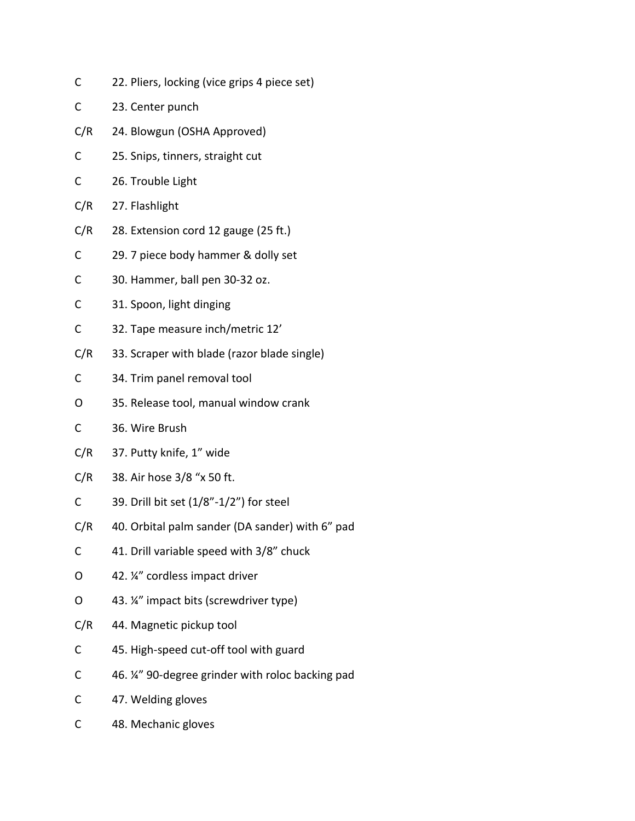- C 22. Pliers, locking (vice grips 4 piece set)
- C 23. Center punch
- C/R 24. Blowgun (OSHA Approved)
- C 25. Snips, tinners, straight cut
- C 26. Trouble Light
- C/R 27. Flashlight
- C/R 28. Extension cord 12 gauge (25 ft.)
- C 29. 7 piece body hammer & dolly set
- C 30. Hammer, ball pen 30-32 oz.
- C 31. Spoon, light dinging
- C 32. Tape measure inch/metric 12'
- C/R 33. Scraper with blade (razor blade single)
- C 34. Trim panel removal tool
- O 35. Release tool, manual window crank
- C 36. Wire Brush
- C/R 37. Putty knife, 1" wide
- C/R 38. Air hose 3/8 "x 50 ft.
- C  $39.$  Drill bit set  $(1/8" 1/2")$  for steel
- C/R 40. Orbital palm sander (DA sander) with 6" pad
- C 41. Drill variable speed with 3/8" chuck
- O 42. ¼" cordless impact driver
- O 43. ¼" impact bits (screwdriver type)
- C/R 44. Magnetic pickup tool
- C 45. High-speed cut-off tool with guard
- C 46. ¼" 90-degree grinder with roloc backing pad
- C 47. Welding gloves
- C 48. Mechanic gloves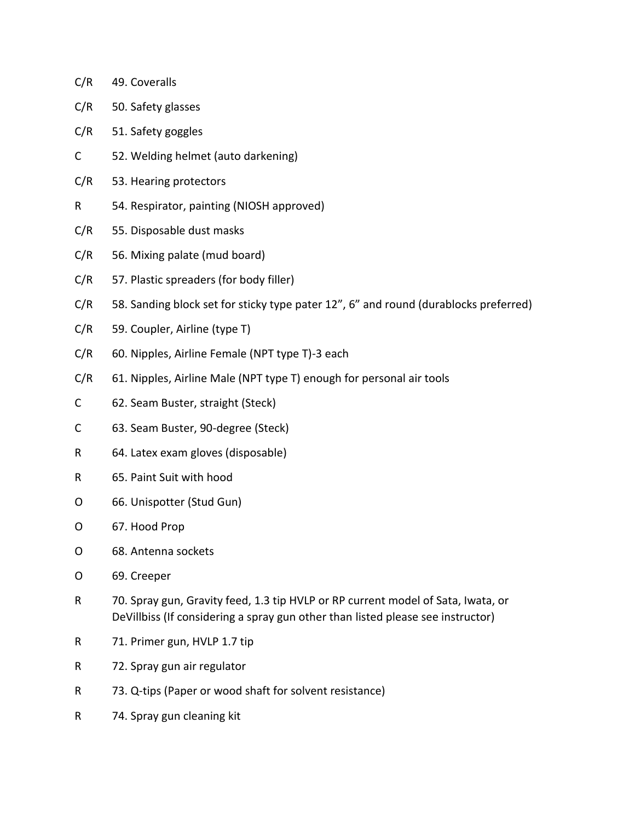- C/R 49. Coveralls
- C/R 50. Safety glasses
- C/R 51. Safety goggles
- C 52. Welding helmet (auto darkening)
- C/R 53. Hearing protectors
- R 54. Respirator, painting (NIOSH approved)
- C/R 55. Disposable dust masks
- C/R 56. Mixing palate (mud board)
- C/R 57. Plastic spreaders (for body filler)
- C/R 58. Sanding block set for sticky type pater 12", 6" and round (durablocks preferred)
- C/R 59. Coupler, Airline (type T)
- C/R 60. Nipples, Airline Female (NPT type T)-3 each
- C/R 61. Nipples, Airline Male (NPT type T) enough for personal air tools
- C 62. Seam Buster, straight (Steck)
- C 63. Seam Buster, 90-degree (Steck)
- R 64. Latex exam gloves (disposable)
- R 65. Paint Suit with hood
- O 66. Unispotter (Stud Gun)
- O 67. Hood Prop
- O 68. Antenna sockets
- O 69. Creeper
- R 70. Spray gun, Gravity feed, 1.3 tip HVLP or RP current model of Sata, Iwata, or DeVillbiss (If considering a spray gun other than listed please see instructor)
- R 71. Primer gun, HVLP 1.7 tip
- R 72. Spray gun air regulator
- R 73. Q-tips (Paper or wood shaft for solvent resistance)
- R 74. Spray gun cleaning kit